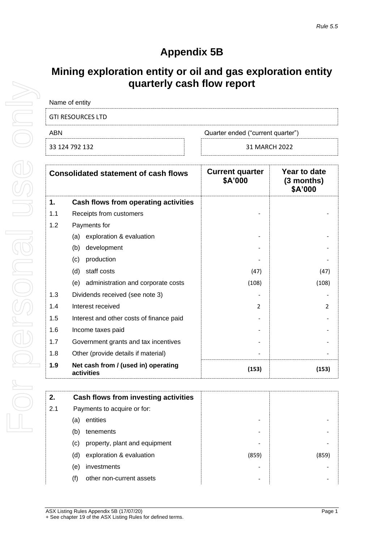# **Appendix 5B**

## **Mining exploration entity or oil and gas exploration entity quarterly cash flow report**

| Name of entity    |                                   |
|-------------------|-----------------------------------|
| GTI RESOURCES LTD |                                   |
| ABN               | Quarter ended ("current quarter") |
| 33 124 792 132    | 31 MARCH 2022                     |

|     | <b>Consolidated statement of cash flows</b>       | <b>Current quarter</b><br>\$A'000 | Year to date<br>(3 months)<br>\$A'000 |
|-----|---------------------------------------------------|-----------------------------------|---------------------------------------|
| 1.  | Cash flows from operating activities              |                                   |                                       |
| 1.1 | Receipts from customers                           |                                   |                                       |
| 1.2 | Payments for                                      |                                   |                                       |
|     | exploration & evaluation<br>(a)                   |                                   |                                       |
|     | development<br>(b)                                |                                   |                                       |
|     | (c)<br>production                                 |                                   |                                       |
|     | staff costs<br>(d)                                | (47)                              | (47)                                  |
|     | administration and corporate costs<br>(e)         | (108)                             | (108)                                 |
| 1.3 | Dividends received (see note 3)                   |                                   |                                       |
| 1.4 | Interest received                                 | 2                                 | $\mathcal{P}$                         |
| 1.5 | Interest and other costs of finance paid          |                                   |                                       |
| 1.6 | Income taxes paid                                 |                                   |                                       |
| 1.7 | Government grants and tax incentives              |                                   |                                       |
| 1.8 | Other (provide details if material)               |                                   |                                       |
| 1.9 | Net cash from / (used in) operating<br>activities | (153)                             | (153)                                 |

| 2.  | Cash flows from investing activities |       |       |
|-----|--------------------------------------|-------|-------|
| 2.1 | Payments to acquire or for:          |       |       |
|     | entities<br>(a)                      | -     |       |
|     | tenements<br>(b)                     | -     |       |
|     | property, plant and equipment<br>(C) | -     |       |
|     | exploration & evaluation<br>(d)      | (859) | (859) |
|     | investments<br>(e)                   |       |       |
|     | other non-current assets<br>(†)      | -     |       |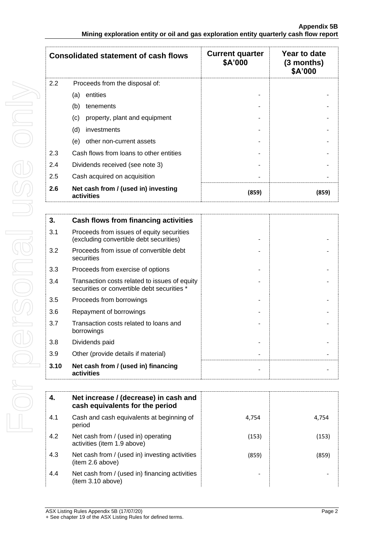|     | <b>Consolidated statement of cash flows</b>       | <b>Current quarter</b><br>\$A'000 | Year to date<br>$(3$ months)<br>\$A'000 |
|-----|---------------------------------------------------|-----------------------------------|-----------------------------------------|
| 2.2 | Proceeds from the disposal of:                    |                                   |                                         |
|     | entities<br>(a)                                   |                                   |                                         |
|     | (b)<br>tenements                                  |                                   |                                         |
|     | property, plant and equipment<br>(c)              |                                   |                                         |
|     | (d)<br>investments                                |                                   |                                         |
|     | other non-current assets<br>(e)                   |                                   |                                         |
| 2.3 | Cash flows from loans to other entities           |                                   |                                         |
| 2.4 | Dividends received (see note 3)                   |                                   |                                         |
| 2.5 | Cash acquired on acquisition                      |                                   |                                         |
| 2.6 | Net cash from / (used in) investing<br>activities | (859)                             | (859)                                   |

| 3.   | Cash flows from financing activities                                                         |  |
|------|----------------------------------------------------------------------------------------------|--|
| 3.1  | Proceeds from issues of equity securities<br>(excluding convertible debt securities)         |  |
| 3.2  | Proceeds from issue of convertible debt<br>securities                                        |  |
| 3.3  | Proceeds from exercise of options                                                            |  |
| 3.4  | Transaction costs related to issues of equity<br>securities or convertible debt securities * |  |
| 3.5  | Proceeds from borrowings                                                                     |  |
| 3.6  | Repayment of borrowings                                                                      |  |
| 3.7  | Transaction costs related to loans and<br>borrowings                                         |  |
| 3.8  | Dividends paid                                                                               |  |
| 3.9  | Other (provide details if material)                                                          |  |
| 3.10 | Net cash from / (used in) financing<br>activities                                            |  |

| 4.  | Net increase / (decrease) in cash and<br>cash equivalents for the period |       |       |
|-----|--------------------------------------------------------------------------|-------|-------|
| 4.1 | Cash and cash equivalents at beginning of<br>period                      | 4.754 | 4,754 |
| 4.2 | Net cash from / (used in) operating<br>activities (item 1.9 above)       | (153) | (153) |
| 4.3 | Net cash from / (used in) investing activities<br>(item 2.6 above)       | (859) | (859) |
| 4.4 | Net cash from / (used in) financing activities<br>(item 3.10 above)      | -     |       |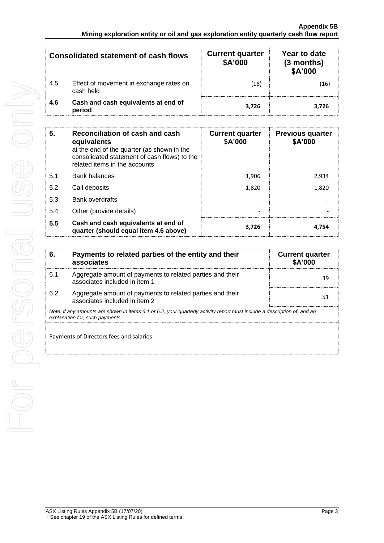|     | <b>Consolidated statement of cash flows</b>          | <b>Current quarter</b><br>\$A'000 | Year to date<br>$(3$ months)<br>\$A'000 |
|-----|------------------------------------------------------|-----------------------------------|-----------------------------------------|
| 4.5 | Effect of movement in exchange rates on<br>cash held | (16)                              | '16)                                    |
| 4.6 | Cash and cash equivalents at end of<br>period        | 3.726                             | 3.726                                   |

| 5.  | Reconciliation of cash and cash<br>equivalents<br>at the end of the quarter (as shown in the<br>consolidated statement of cash flows) to the<br>related items in the accounts | <b>Current quarter</b><br>\$A'000 | <b>Previous quarter</b><br>\$A'000 |
|-----|-------------------------------------------------------------------------------------------------------------------------------------------------------------------------------|-----------------------------------|------------------------------------|
| 5.1 | <b>Bank balances</b>                                                                                                                                                          | 1,906                             | 2,934                              |
| 5.2 | Call deposits                                                                                                                                                                 | 1,820                             | 1,820                              |
| 5.3 | Bank overdrafts                                                                                                                                                               |                                   |                                    |
| 5.4 | Other (provide details)                                                                                                                                                       | $\overline{\phantom{a}}$          |                                    |
| 5.5 | Cash and cash equivalents at end of<br>quarter (should equal item 4.6 above)                                                                                                  | 3,726                             | 4.754                              |

| 6.                                      | Payments to related parties of the entity and their<br>associates                                                                                           | <b>Current quarter</b><br>\$A'000 |  |  |
|-----------------------------------------|-------------------------------------------------------------------------------------------------------------------------------------------------------------|-----------------------------------|--|--|
| 6.1                                     | Aggregate amount of payments to related parties and their<br>associates included in item 1                                                                  | 39                                |  |  |
| 6.2                                     | Aggregate amount of payments to related parties and their<br>associates included in item 2                                                                  | 51                                |  |  |
|                                         | Note: if any amounts are shown in items 6.1 or 6.2, your quarterly activity report must include a description of, and an<br>explanation for, such payments. |                                   |  |  |
| Payments of Directors fees and salaries |                                                                                                                                                             |                                   |  |  |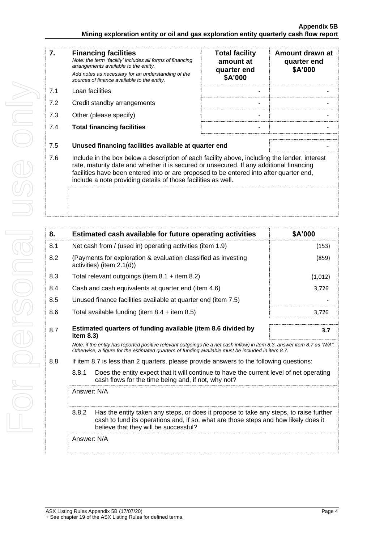#### **Appendix 5B Mining exploration entity or oil and gas exploration entity quarterly cash flow report**

| 7.  | <b>Financing facilities</b><br>Note: the term "facility' includes all forms of financing<br>arrangements available to the entity.<br>Add notes as necessary for an understanding of the<br>sources of finance available to the entity.                                                                                                               | <b>Total facility</b><br>amount at<br>quarter end<br>\$A'000 | Amount drawn at<br>quarter end<br>\$A'000 |
|-----|------------------------------------------------------------------------------------------------------------------------------------------------------------------------------------------------------------------------------------------------------------------------------------------------------------------------------------------------------|--------------------------------------------------------------|-------------------------------------------|
| 7.1 | Loan facilities                                                                                                                                                                                                                                                                                                                                      |                                                              |                                           |
| 7.2 | Credit standby arrangements                                                                                                                                                                                                                                                                                                                          |                                                              |                                           |
| 7.3 | Other (please specify)                                                                                                                                                                                                                                                                                                                               |                                                              |                                           |
| 7.4 | <b>Total financing facilities</b>                                                                                                                                                                                                                                                                                                                    |                                                              |                                           |
| 7.5 | Unused financing facilities available at quarter end                                                                                                                                                                                                                                                                                                 |                                                              |                                           |
| 7.6 | Include in the box below a description of each facility above, including the lender, interest<br>rate, maturity date and whether it is secured or unsecured. If any additional financing<br>facilities have been entered into or are proposed to be entered into after quarter end,<br>include a note providing details of those facilities as well. |                                                              |                                           |

| 8.  | Estimated cash available for future operating activities                                                                                                                                                                        | \$A'000 |
|-----|---------------------------------------------------------------------------------------------------------------------------------------------------------------------------------------------------------------------------------|---------|
| 8.1 | Net cash from / (used in) operating activities (item 1.9)                                                                                                                                                                       | (153)   |
| 8.2 | (Payments for exploration & evaluation classified as investing<br>activities) (item $2.1(d)$ )                                                                                                                                  | (859)   |
| 8.3 | Total relevant outgoings (item $8.1$ + item $8.2$ )                                                                                                                                                                             | (1,012) |
| 8.4 | Cash and cash equivalents at quarter end (item 4.6)                                                                                                                                                                             | 3,726   |
| 8.5 | Unused finance facilities available at quarter end (item 7.5)                                                                                                                                                                   |         |
| 8.6 | Total available funding (item $8.4$ + item $8.5$ )                                                                                                                                                                              | 3,726   |
| 8.7 | Estimated quarters of funding available (item 8.6 divided by                                                                                                                                                                    | 3.7     |
|     | item $8.3$ )                                                                                                                                                                                                                    |         |
|     | Note: if the entity has reported positive relevant outgoings (ie a net cash inflow) in item 8.3, answer item 8.7 as "N/A".<br>Otherwise, a figure for the estimated quarters of funding available must be included in item 8.7. |         |
| 8.8 | If item 8.7 is less than 2 quarters, please provide answers to the following questions:                                                                                                                                         |         |
|     | 8.8.1<br>Does the entity expect that it will continue to have the current level of net operating<br>cash flows for the time being and, if not, why not?                                                                         |         |
|     | Answer: N/A                                                                                                                                                                                                                     |         |

8.8.2 Has the entity taken any steps, or does it propose to take any steps, to raise further cash to fund its operations and, if so, what are those steps and how likely does it believe that they will be successful?

Answer: N/A

ASX Listing Rules Appendix 5B (17/07/20) Page 4 + See chapter 19 of the ASX Listing Rules for defined terms.